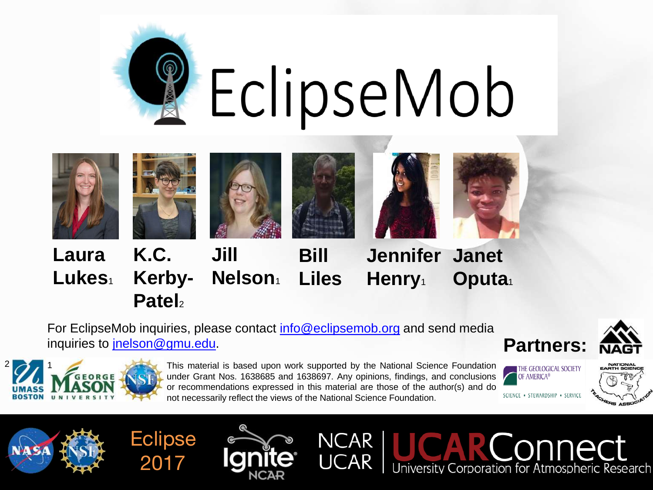



For EclipseMob inquiries, please contact [info@eclipsemob.org](mailto:info@eclipsemob.org) and send media inquiries to *jnelson@gmu.edu*.



onnect





**Eclipse** 

**Patel**<sup>2</sup>

2017

This material is based upon work supported by the National Science Foundation under Grant Nos. 1638685 and 1638697. Any opinions, findings, and conclusions or recommendations expressed in this material are those of the author(s) and do not necessarily reflect the views of the National Science Foundation.

**NCAR** 

**UCAR** 





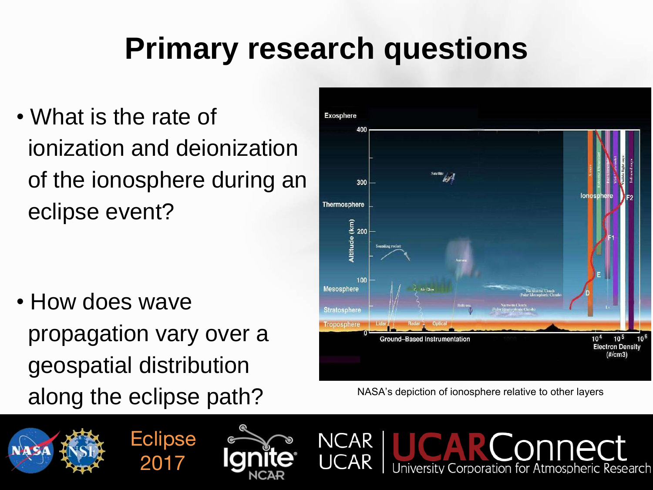## **Primary research questions**

• What is the rate of ionization and deionization of the ionosphere during an eclipse event?

• How does wave propagation vary over a geospatial distribution along the eclipse path? NASA's depiction of ionosphere relative to other layers



iversity Corporation for Atmospheric Research







**NCAR**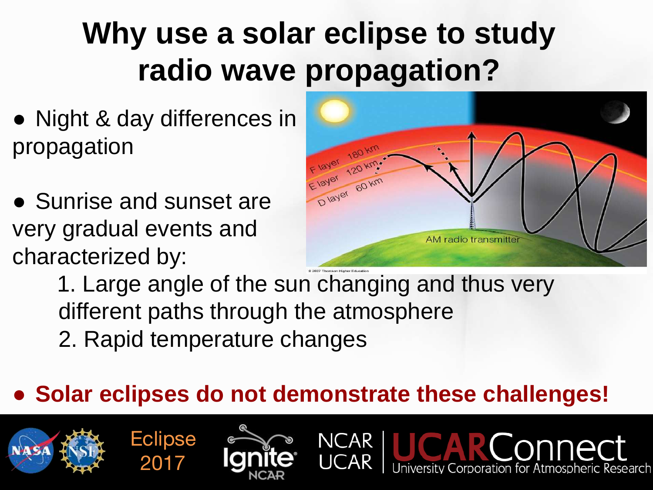# **Why use a solar eclipse to study radio wave propagation?**

- Night & day differences in propagation
- Sunrise and sunset are very gradual events and characterized by:

**Eclipse** 

2017



spheric Research

1. Large angle of the sun changing and thus very different paths through the atmosphere 2. Rapid temperature changes

### ● **Solar eclipses do not demonstrate these challenges!**

**NCAR**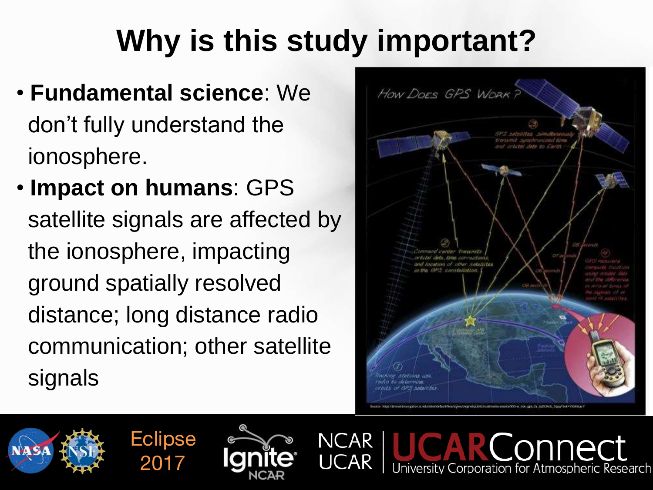# **Why is this study important?**

- **Fundamental science**: We don't fully understand the ionosphere.
- **Impact on humans**: GPS satellite signals are affected by the ionosphere, impacting ground spatially resolved distance; long distance radio communication; other satellite signals

**Eclipse** 

2017



Corporation for Atmospheric Research

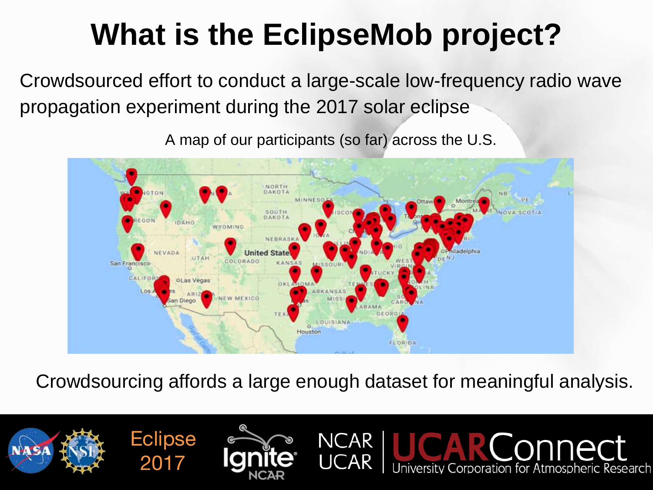# **What is the EclipseMob project?**

Crowdsourced effort to conduct a large-scale low-frequency radio wave propagation experiment during the 2017 solar eclipse

A map of our participants (so far) across the U.S.



Crowdsourcing affords a large enough dataset for meaningful analysis.

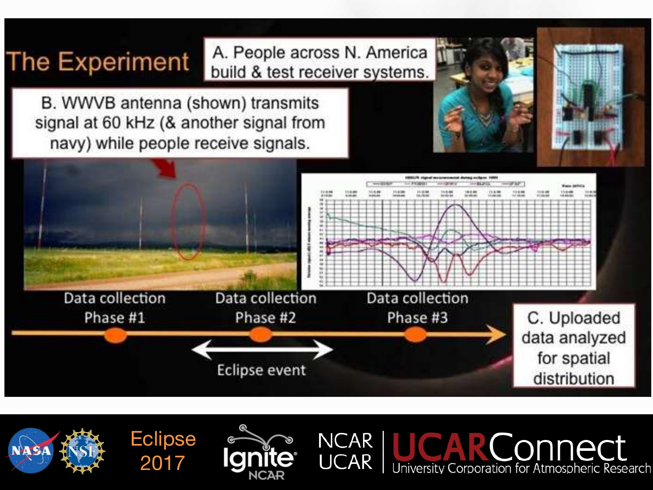### **The Experiment**

A. People across N. America build & test receiver systems.

B. WWVB antenna (shown) transmits signal at 60 kHz (& another signal from navy) while people receive signals.



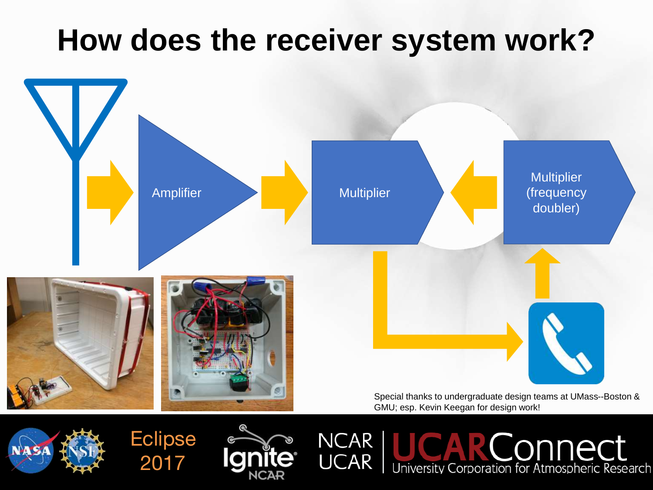### **How does the receiver system work?**



**NCAR** 

**UCAR** 





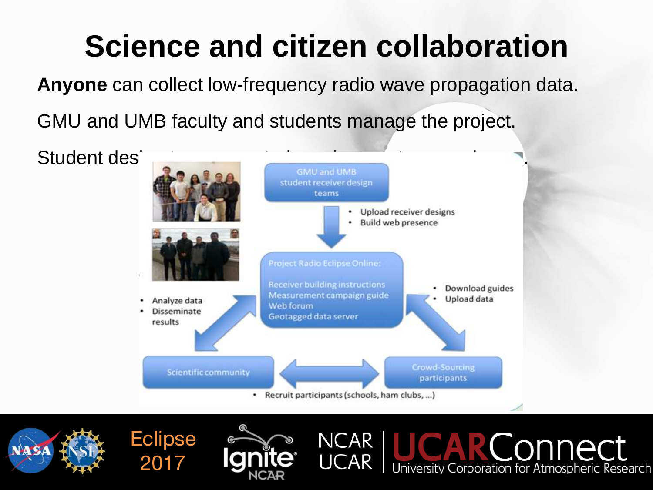# **Science and citizen collaboration**

**Anyone** can collect low-frequency radio wave propagation data.

GMU and UMB faculty and students manage the project.



**NCAR** 

**UCAR** 

connect





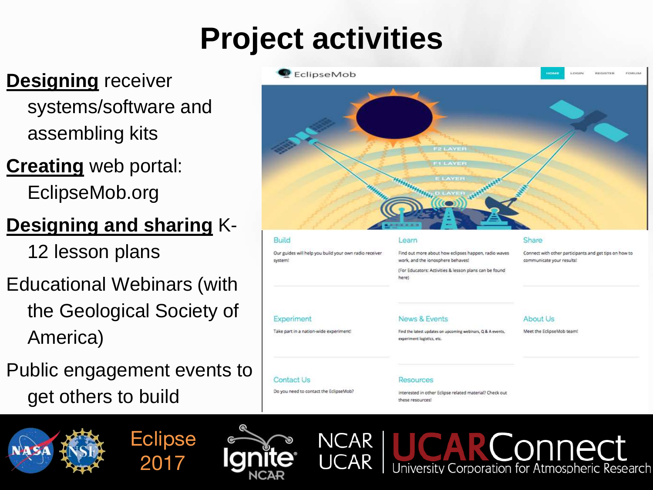# **Project activities**

### **Designing** receiver systems/software and assembling kits

**Creating** web portal: EclipseMob.org

### **Designing and sharing** K-

12 lesson plans

- Educational Webinars (with the Geological Society of America)
- Public engagement events to get others to build



#### Build Share Learn Our guides will help you build your own radio receiver Find out more about how eclipses happen, radio waves Connect with other participants and get tips on how to work, and the ionosphere behaves! system! communicate your results! (For Educators: Activities & lesson plans can be found herel **News & Events** About Us Experiment Take part in a nation-wide experiment Meet the EclipseMob team! Find the latest updates on upcoming webinars, Q & A events, experiment logistics, etc. **Contact Us** Resources Do you need to contact the EclipseMob? Interested in other Eclipse related material? Check out these resources





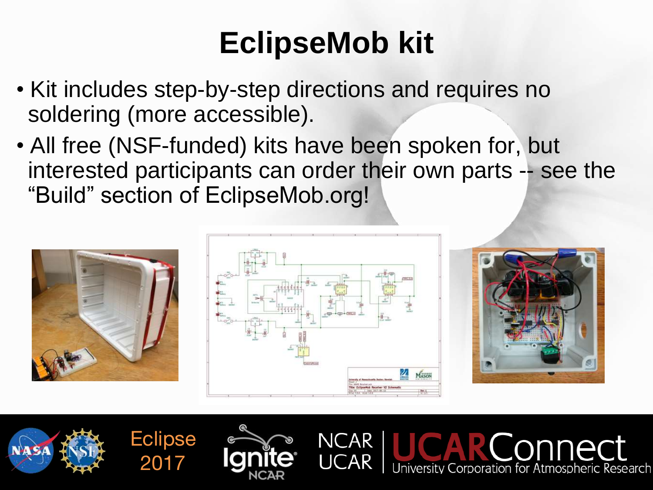# **EclipseMob kit**

- Kit includes step-by-step directions and requires no soldering (more accessible).
- All free (NSF-funded) kits have been spoken for, but interested participants can order their own parts -- see the "Build" section of EclipseMob.org!



**Eclipse** 

2017



NCAR



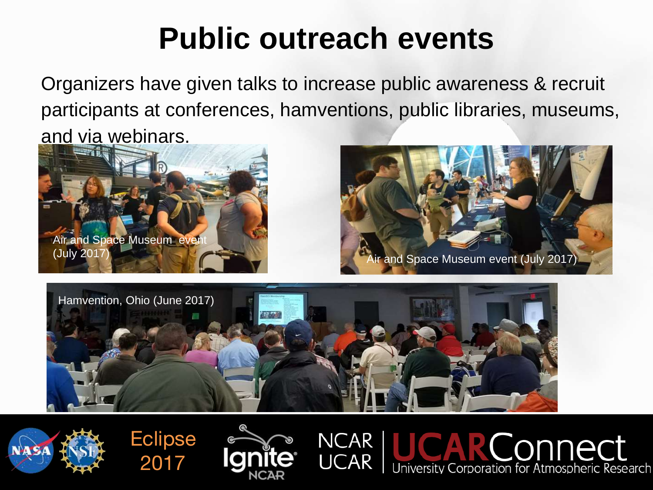## **Public outreach events**

Organizers have given talks to increase public awareness & recruit participants at conferences, hamventions, public libraries, museums, and via webinars.





**CODDECT** 

University Corporation for Atmospheric Research



**NCAR** 

**UCAR** 





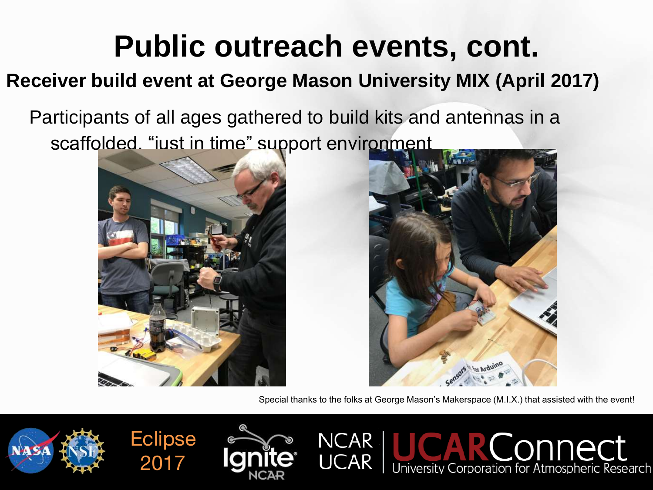## **Public outreach events, cont.**

### **Receiver build event at George Mason University MIX (April 2017)**

Participants of all ages gathered to build kits and antennas in a scaffolded. "just in time" support environment





Special thanks to the folks at George Mason's Makerspace (M.I.X.) that assisted with the event!

**CONDECT** 

![](_page_11_Picture_6.jpeg)

![](_page_11_Picture_7.jpeg)

![](_page_11_Picture_8.jpeg)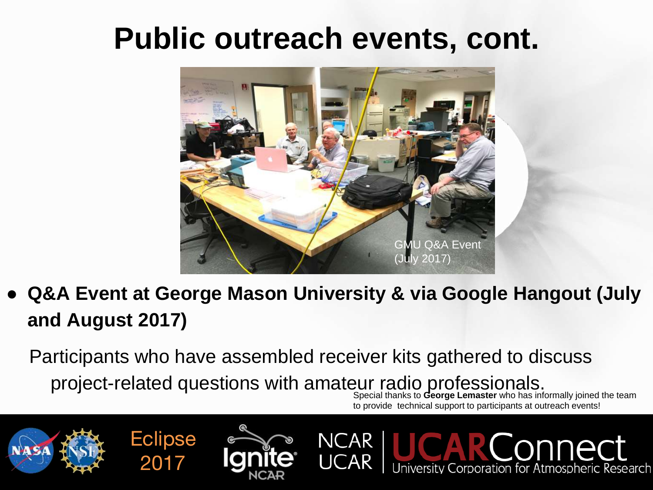### **Public outreach events, cont.**

![](_page_12_Picture_1.jpeg)

**Q&A Event at George Mason University & via Google Hangout (July and August 2017)**

Participants who have assembled receiver kits gathered to discuss project-related questions with amateur radio professionals.

NCAR

**Eclipse** 

2017

Special thanks to **George Lemaster** who has informally joined the team to provide technical support to participants at outreach events!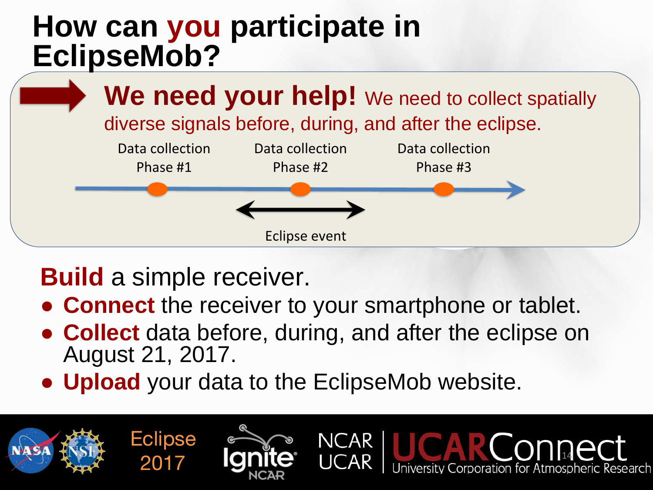### **How can you participate in EclipseMob?**

![](_page_13_Figure_1.jpeg)

### **Build** a simple receiver.

**Eclipse** 

2017

- **Connect** the receiver to your smartphone or tablet.
- **Collect** data before, during, and after the eclipse on August 21, 2017.

**NCAR** 

**Atmospheric Research** 

● **Upload** your data to the EclipseMob website.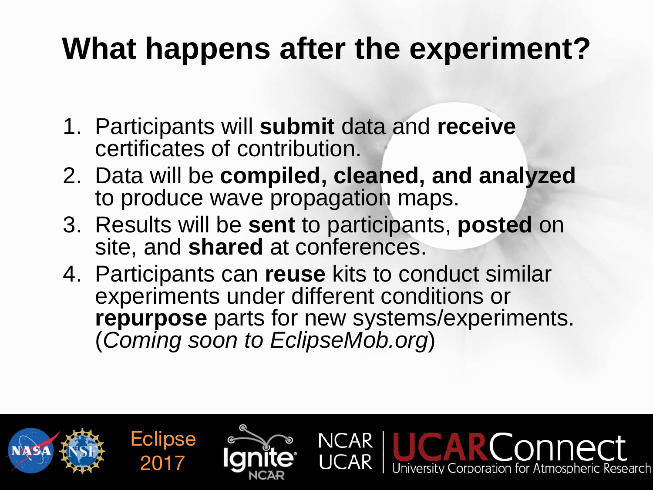## **What happens after the experiment?**

- 1. Participants will **submit** data and **receive** certificates of contribution.
- 2. Data will be **compiled, cleaned, and analyzed** to produce wave propagation maps.
- 3. Results will be **sent** to participants, **posted** on site, and **shared** at conferences.
- 4. Participants can **reuse** kits to conduct similar experiments under different conditions or **repurpose** parts for new systems/experiments. (*Coming soon to EclipseMob.org*)

![](_page_14_Picture_5.jpeg)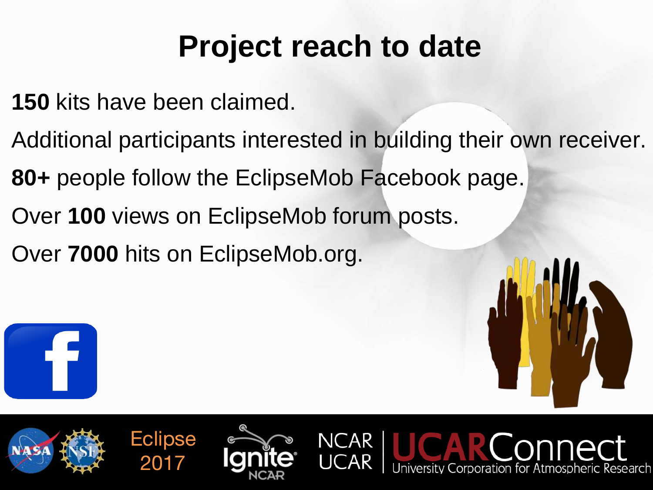## **Project reach to date**

- **150** kits have been claimed.
- Additional participants interested in building their own receiver.

 $\bigcap$ AR

- **80+** people follow the EclipseMob Facebook page.
- Over **100** views on EclipseMob forum posts.
- Over **7000** hits on EclipseMob.org.

**Eclipse** 

2017

![](_page_15_Picture_6.jpeg)

![](_page_15_Picture_7.jpeg)